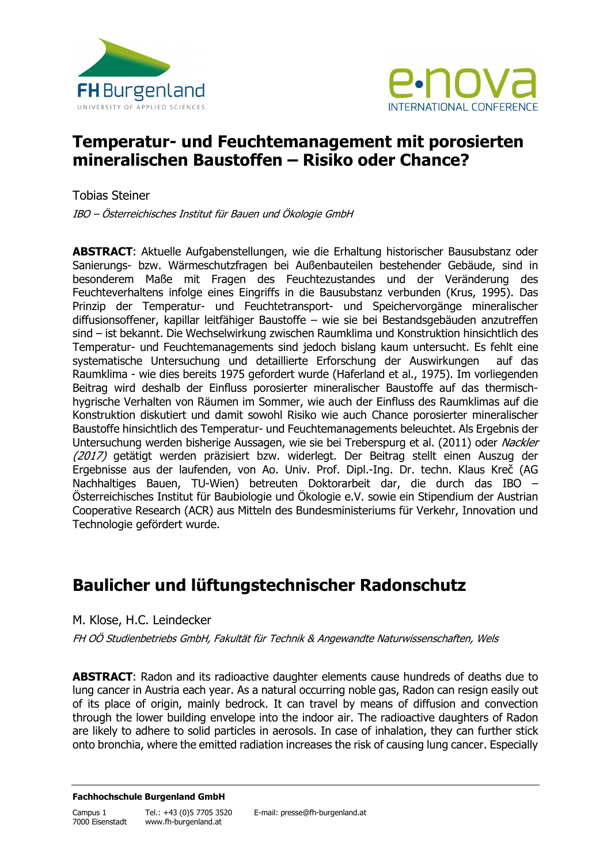



### **Temperatur- und Feuchtemanagement mit porosierten mineralischen Baustoffen – Risiko oder Chance?**

Tobias Steiner

IBO – Österreichisches Institut für Bauen und Ökologie GmbH

**ABSTRACT**: Aktuelle Aufgabenstellungen, wie die Erhaltung historischer Bausubstanz oder Sanierungs- bzw. Wärmeschutzfragen bei Außenbauteilen bestehender Gebäude, sind in besonderem Maße mit Fragen des Feuchtezustandes und der Veränderung des Feuchteverhaltens infolge eines Eingriffs in die Bausubstanz verbunden (Krus, 1995). Das Prinzip der Temperatur- und Feuchtetransport- und Speichervorgänge mineralischer diffusionsoffener, kapillar leitfähiger Baustoffe – wie sie bei Bestandsgebäuden anzutreffen sind – ist bekannt. Die Wechselwirkung zwischen Raumklima und Konstruktion hinsichtlich des Temperatur- und Feuchtemanagements sind jedoch bislang kaum untersucht. Es fehlt eine systematische Untersuchung und detaillierte Erforschung der Auswirkungen auf das Raumklima - wie dies bereits 1975 gefordert wurde (Haferland et al., 1975). Im vorliegenden Beitrag wird deshalb der Einfluss porosierter mineralischer Baustoffe auf das thermischhygrische Verhalten von Räumen im Sommer, wie auch der Einfluss des Raumklimas auf die Konstruktion diskutiert und damit sowohl Risiko wie auch Chance porosierter mineralischer Baustoffe hinsichtlich des Temperatur- und Feuchtemanagements beleuchtet. Als Ergebnis der Untersuchung werden bisherige Aussagen, wie sie bei Treberspurg et al. (2011) oder Nackler (2017) getätigt werden präzisiert bzw. widerlegt. Der Beitrag stellt einen Auszug der Ergebnisse aus der laufenden, von Ao. Univ. Prof. Dipl.-Ing. Dr. techn. Klaus Kreč (AG Nachhaltiges Bauen, TU-Wien) betreuten Doktorarbeit dar, die durch das IBO – Österreichisches Institut für Baubiologie und Ökologie e.V. sowie ein Stipendium der Austrian Cooperative Research (ACR) aus Mitteln des Bundesministeriums für Verkehr, Innovation und Technologie gefördert wurde.

# **Baulicher und lüftungstechnischer Radonschutz**

M. Klose, H.C. Leindecker

FH OÖ Studienbetriebs GmbH, Fakultät für Technik & Angewandte Naturwissenschaften, Wels

**ABSTRACT:** Radon and its radioactive daughter elements cause hundreds of deaths due to lung cancer in Austria each year. As a natural occurring noble gas, Radon can resign easily out of its place of origin, mainly bedrock. It can travel by means of diffusion and convection through the lower building envelope into the indoor air. The radioactive daughters of Radon are likely to adhere to solid particles in aerosols. In case of inhalation, they can further stick onto bronchia, where the emitted radiation increases the risk of causing lung cancer. Especially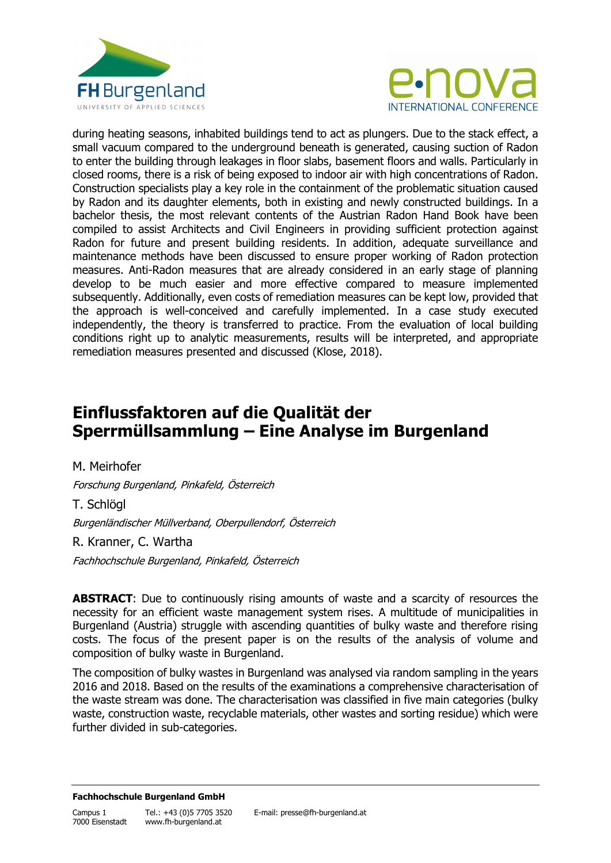



during heating seasons, inhabited buildings tend to act as plungers. Due to the stack effect, a small vacuum compared to the underground beneath is generated, causing suction of Radon to enter the building through leakages in floor slabs, basement floors and walls. Particularly in closed rooms, there is a risk of being exposed to indoor air with high concentrations of Radon. Construction specialists play a key role in the containment of the problematic situation caused by Radon and its daughter elements, both in existing and newly constructed buildings. In a bachelor thesis, the most relevant contents of the Austrian Radon Hand Book have been compiled to assist Architects and Civil Engineers in providing sufficient protection against Radon for future and present building residents. In addition, adequate surveillance and maintenance methods have been discussed to ensure proper working of Radon protection measures. Anti-Radon measures that are already considered in an early stage of planning develop to be much easier and more effective compared to measure implemented subsequently. Additionally, even costs of remediation measures can be kept low, provided that the approach is well-conceived and carefully implemented. In a case study executed independently, the theory is transferred to practice. From the evaluation of local building conditions right up to analytic measurements, results will be interpreted, and appropriate remediation measures presented and discussed (Klose, 2018).

# **Einflussfaktoren auf die Qualität der Sperrmüllsammlung – Eine Analyse im Burgenland**

M. Meirhofer Forschung Burgenland, Pinkafeld, Österreich T. Schlögl Burgenländischer Müllverband, Oberpullendorf, Österreich R. Kranner, C. Wartha

Fachhochschule Burgenland, Pinkafeld, Österreich

**ABSTRACT:** Due to continuously rising amounts of waste and a scarcity of resources the necessity for an efficient waste management system rises. A multitude of municipalities in Burgenland (Austria) struggle with ascending quantities of bulky waste and therefore rising costs. The focus of the present paper is on the results of the analysis of volume and composition of bulky waste in Burgenland.

The composition of bulky wastes in Burgenland was analysed via random sampling in the years 2016 and 2018. Based on the results of the examinations a comprehensive characterisation of the waste stream was done. The characterisation was classified in five main categories (bulky waste, construction waste, recyclable materials, other wastes and sorting residue) which were further divided in sub-categories.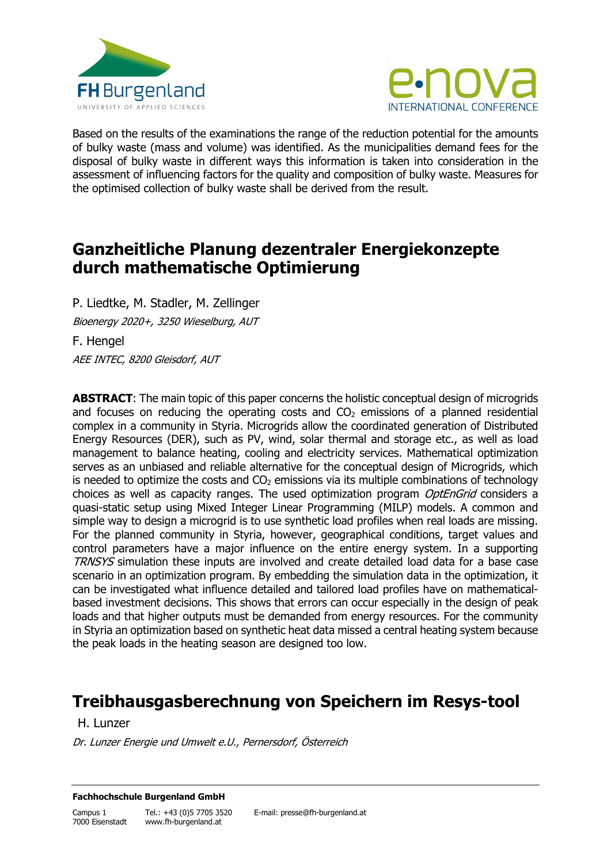



Based on the results of the examinations the range of the reduction potential for the amounts of bulky waste (mass and volume) was identified. As the municipalities demand fees for the disposal of bulky waste in different ways this information is taken into consideration in the assessment of influencing factors for the quality and composition of bulky waste. Measures for the optimised collection of bulky waste shall be derived from the result.

# **Ganzheitliche Planung dezentraler Energiekonzepte durch mathematische Optimierung**

P. Liedtke, M. Stadler, M. Zellinger Bioenergy 2020+, 3250 Wieselburg, AUT F. Hengel AEE INTEC, 8200 Gleisdorf, AUT

**ABSTRACT**: The main topic of this paper concerns the holistic conceptual design of microgrids and focuses on reducing the operating costs and  $CO<sub>2</sub>$  emissions of a planned residential complex in a community in Styria. Microgrids allow the coordinated generation of Distributed Energy Resources (DER), such as PV, wind, solar thermal and storage etc., as well as load management to balance heating, cooling and electricity services. Mathematical optimization serves as an unbiased and reliable alternative for the conceptual design of Microgrids, which is needed to optimize the costs and  $CO<sub>2</sub>$  emissions via its multiple combinations of technology choices as well as capacity ranges. The used optimization program *OptEnGrid* considers a quasi-static setup using Mixed Integer Linear Programming (MILP) models. A common and simple way to design a microgrid is to use synthetic load profiles when real loads are missing. For the planned community in Styria, however, geographical conditions, target values and control parameters have a major influence on the entire energy system. In a supporting TRNSYS simulation these inputs are involved and create detailed load data for a base case scenario in an optimization program. By embedding the simulation data in the optimization, it can be investigated what influence detailed and tailored load profiles have on mathematicalbased investment decisions. This shows that errors can occur especially in the design of peak loads and that higher outputs must be demanded from energy resources. For the community in Styria an optimization based on synthetic heat data missed a central heating system because the peak loads in the heating season are designed too low.

# **Treibhausgasberechnung von Speichern im Resys-tool**

H. Lunzer

Dr. Lunzer Energie und Umwelt e.U., Pernersdorf, Österreich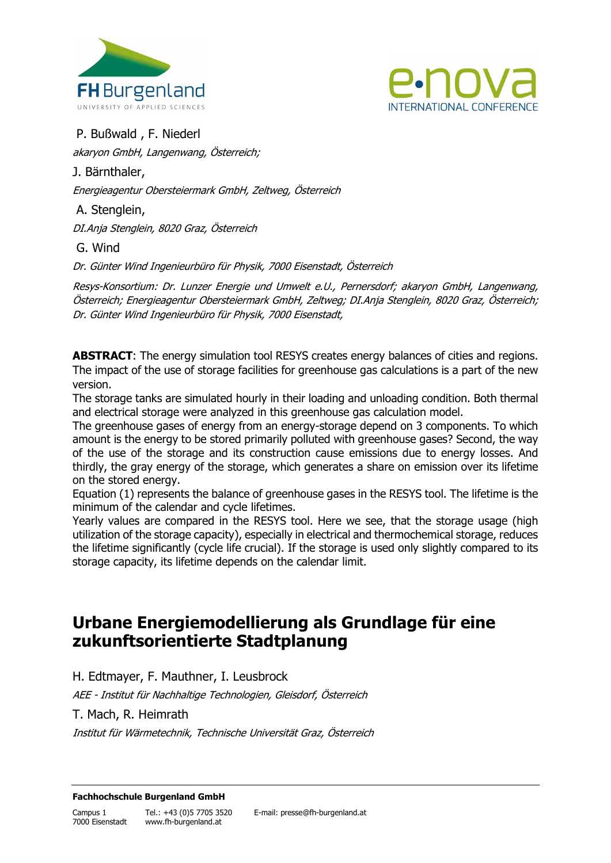



P. Bußwald , F. Niederl

akaryon GmbH, Langenwang, Österreich;

J. Bärnthaler,

Energieagentur Obersteiermark GmbH, Zeltweg, Österreich

A. Stenglein,

DI.Anja Stenglein, 8020 Graz, Österreich

G. Wind

Dr. Günter Wind Ingenieurbüro für Physik, 7000 Eisenstadt, Österreich

Resys-Konsortium: Dr. Lunzer Energie und Umwelt e.U., Pernersdorf; akaryon GmbH, Langenwang, Österreich; Energieagentur Obersteiermark GmbH, Zeltweg; DI.Anja Stenglein, 8020 Graz, Österreich; Dr. Günter Wind Ingenieurbüro für Physik, 7000 Eisenstadt,

**ABSTRACT**: The energy simulation tool RESYS creates energy balances of cities and regions. The impact of the use of storage facilities for greenhouse gas calculations is a part of the new version.

The storage tanks are simulated hourly in their loading and unloading condition. Both thermal and electrical storage were analyzed in this greenhouse gas calculation model.

The greenhouse gases of energy from an energy-storage depend on 3 components. To which amount is the energy to be stored primarily polluted with greenhouse gases? Second, the way of the use of the storage and its construction cause emissions due to energy losses. And thirdly, the gray energy of the storage, which generates a share on emission over its lifetime on the stored energy.

Equation (1) represents the balance of greenhouse gases in the RESYS tool. The lifetime is the minimum of the calendar and cycle lifetimes.

Yearly values are compared in the RESYS tool. Here we see, that the storage usage (high utilization of the storage capacity), especially in electrical and thermochemical storage, reduces the lifetime significantly (cycle life crucial). If the storage is used only slightly compared to its storage capacity, its lifetime depends on the calendar limit.

# **Urbane Energiemodellierung als Grundlage für eine zukunftsorientierte Stadtplanung**

H. Edtmayer, F. Mauthner, I. Leusbrock

AEE - Institut für Nachhaltige Technologien, Gleisdorf, Österreich

T. Mach, R. Heimrath

Institut für Wärmetechnik, Technische Universität Graz, Österreich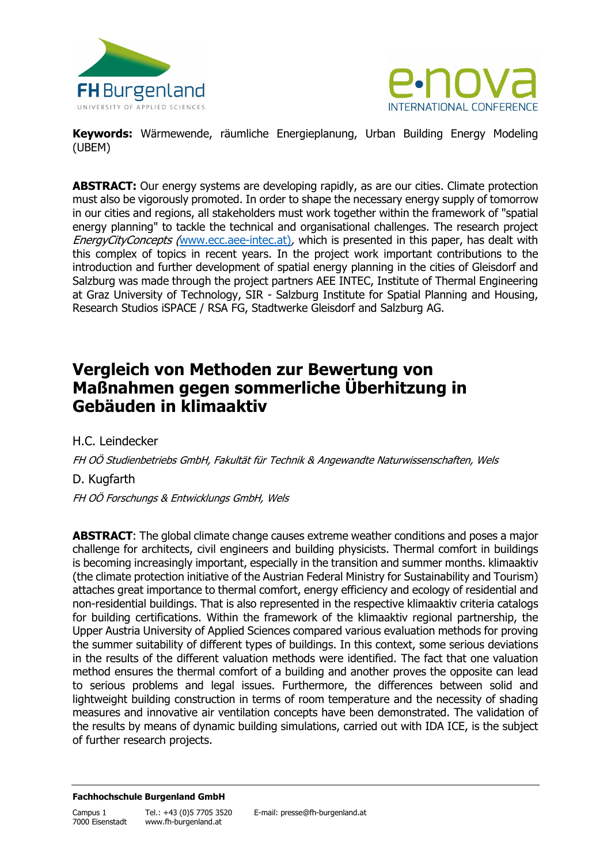



**Keywords:** Wärmewende, räumliche Energieplanung, Urban Building Energy Modeling (UBEM)

**ABSTRACT:** Our energy systems are developing rapidly, as are our cities. Climate protection must also be vigorously promoted. In order to shape the necessary energy supply of tomorrow in our cities and regions, all stakeholders must work together within the framework of "spatial energy planning" to tackle the technical and organisational challenges. The research project EnergyCityConcepts ([www.ecc.aee-intec.at\)](http://www.ecc.aee-intec.at/), which is presented in this paper, has dealt with this complex of topics in recent years. In the project work important contributions to the introduction and further development of spatial energy planning in the cities of Gleisdorf and Salzburg was made through the project partners AEE INTEC, Institute of Thermal Engineering at Graz University of Technology, SIR - Salzburg Institute for Spatial Planning and Housing, Research Studios iSPACE / RSA FG, Stadtwerke Gleisdorf and Salzburg AG.

# **Vergleich von Methoden zur Bewertung von Maßnahmen gegen sommerliche Überhitzung in Gebäuden in klimaaktiv**

H.C. Leindecker

FH OÖ Studienbetriebs GmbH, Fakultät für Technik & Angewandte Naturwissenschaften, Wels

D. Kugfarth

FH OÖ Forschungs & Entwicklungs GmbH, Wels

**ABSTRACT**: The global climate change causes extreme weather conditions and poses a major challenge for architects, civil engineers and building physicists. Thermal comfort in buildings is becoming increasingly important, especially in the transition and summer months. klimaaktiv (the climate protection initiative of the Austrian Federal Ministry for Sustainability and Tourism) attaches great importance to thermal comfort, energy efficiency and ecology of residential and non-residential buildings. That is also represented in the respective klimaaktiv criteria catalogs for building certifications. Within the framework of the klimaaktiv regional partnership, the Upper Austria University of Applied Sciences compared various evaluation methods for proving the summer suitability of different types of buildings. In this context, some serious deviations in the results of the different valuation methods were identified. The fact that one valuation method ensures the thermal comfort of a building and another proves the opposite can lead to serious problems and legal issues. Furthermore, the differences between solid and lightweight building construction in terms of room temperature and the necessity of shading measures and innovative air ventilation concepts have been demonstrated. The validation of the results by means of dynamic building simulations, carried out with IDA ICE, is the subject of further research projects.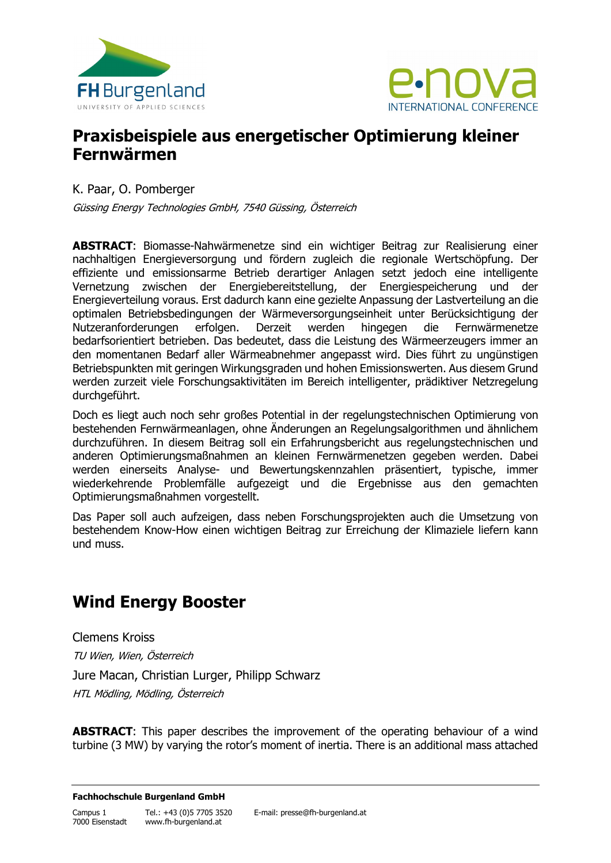



## **Praxisbeispiele aus energetischer Optimierung kleiner Fernwärmen**

K. Paar, O. Pomberger

Güssing Energy Technologies GmbH, 7540 Güssing, Österreich

**ABSTRACT**: Biomasse-Nahwärmenetze sind ein wichtiger Beitrag zur Realisierung einer nachhaltigen Energieversorgung und fördern zugleich die regionale Wertschöpfung. Der effiziente und emissionsarme Betrieb derartiger Anlagen setzt jedoch eine intelligente Vernetzung zwischen der Energiebereitstellung, der Energiespeicherung und der Energieverteilung voraus. Erst dadurch kann eine gezielte Anpassung der Lastverteilung an die optimalen Betriebsbedingungen der Wärmeversorgungseinheit unter Berücksichtigung der Nutzeranforderungen erfolgen. Derzeit werden hingegen die Fernwärmenetze bedarfsorientiert betrieben. Das bedeutet, dass die Leistung des Wärmeerzeugers immer an den momentanen Bedarf aller Wärmeabnehmer angepasst wird. Dies führt zu ungünstigen Betriebspunkten mit geringen Wirkungsgraden und hohen Emissionswerten. Aus diesem Grund werden zurzeit viele Forschungsaktivitäten im Bereich intelligenter, prädiktiver Netzregelung durchgeführt.

Doch es liegt auch noch sehr großes Potential in der regelungstechnischen Optimierung von bestehenden Fernwärmeanlagen, ohne Änderungen an Regelungsalgorithmen und ähnlichem durchzuführen. In diesem Beitrag soll ein Erfahrungsbericht aus regelungstechnischen und anderen Optimierungsmaßnahmen an kleinen Fernwärmenetzen gegeben werden. Dabei werden einerseits Analyse- und Bewertungskennzahlen präsentiert, typische, immer wiederkehrende Problemfälle aufgezeigt und die Ergebnisse aus den gemachten Optimierungsmaßnahmen vorgestellt.

Das Paper soll auch aufzeigen, dass neben Forschungsprojekten auch die Umsetzung von bestehendem Know-How einen wichtigen Beitrag zur Erreichung der Klimaziele liefern kann und muss.

# **Wind Energy Booster**

Clemens Kroiss TU Wien, Wien, Österreich Jure Macan, Christian Lurger, Philipp Schwarz HTL Mödling, Mödling, Österreich

**ABSTRACT**: This paper describes the improvement of the operating behaviour of a wind turbine (3 MW) by varying the rotor's moment of inertia. There is an additional mass attached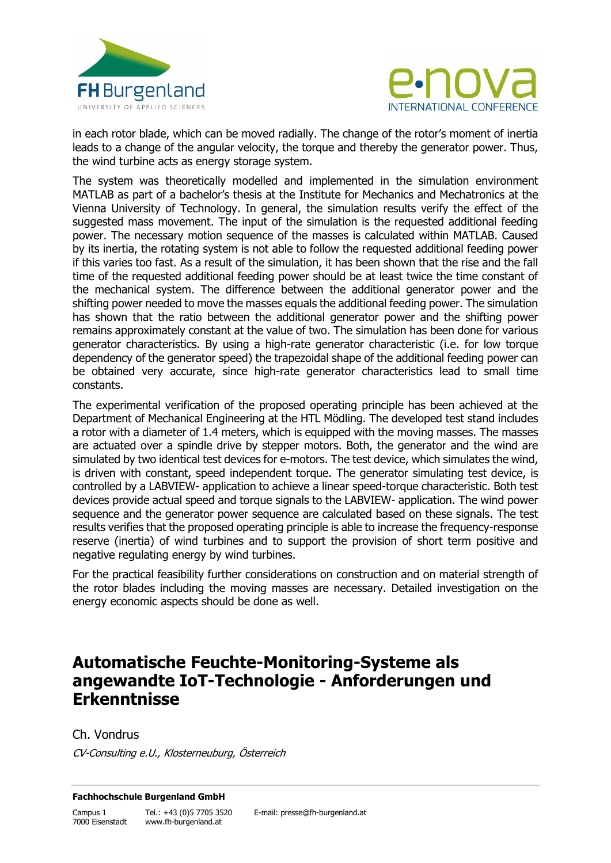



in each rotor blade, which can be moved radially. The change of the rotor's moment of inertia leads to a change of the angular velocity, the torque and thereby the generator power. Thus, the wind turbine acts as energy storage system.

The system was theoretically modelled and implemented in the simulation environment MATLAB as part of a bachelor's thesis at the Institute for Mechanics and Mechatronics at the Vienna University of Technology. In general, the simulation results verify the effect of the suggested mass movement. The input of the simulation is the requested additional feeding power. The necessary motion sequence of the masses is calculated within MATLAB. Caused by its inertia, the rotating system is not able to follow the requested additional feeding power if this varies too fast. As a result of the simulation, it has been shown that the rise and the fall time of the requested additional feeding power should be at least twice the time constant of the mechanical system. The difference between the additional generator power and the shifting power needed to move the masses equals the additional feeding power. The simulation has shown that the ratio between the additional generator power and the shifting power remains approximately constant at the value of two. The simulation has been done for various generator characteristics. By using a high-rate generator characteristic (i.e. for low torque dependency of the generator speed) the trapezoidal shape of the additional feeding power can be obtained very accurate, since high-rate generator characteristics lead to small time constants.

The experimental verification of the proposed operating principle has been achieved at the Department of Mechanical Engineering at the HTL Mödling. The developed test stand includes a rotor with a diameter of 1.4 meters, which is equipped with the moving masses. The masses are actuated over a spindle drive by stepper motors. Both, the generator and the wind are simulated by two identical test devices for e-motors. The test device, which simulates the wind, is driven with constant, speed independent torque. The generator simulating test device, is controlled by a LABVIEW- application to achieve a linear speed-torque characteristic. Both test devices provide actual speed and torque signals to the LABVIEW- application. The wind power sequence and the generator power sequence are calculated based on these signals. The test results verifies that the proposed operating principle is able to increase the frequency-response reserve (inertia) of wind turbines and to support the provision of short term positive and negative regulating energy by wind turbines.

For the practical feasibility further considerations on construction and on material strength of the rotor blades including the moving masses are necessary. Detailed investigation on the energy economic aspects should be done as well.

## **Automatische Feuchte-Monitoring-Systeme als angewandte IoT-Technologie - Anforderungen und Erkenntnisse**

### Ch. Vondrus

CV-Consulting e.U., Klosterneuburg, Österreich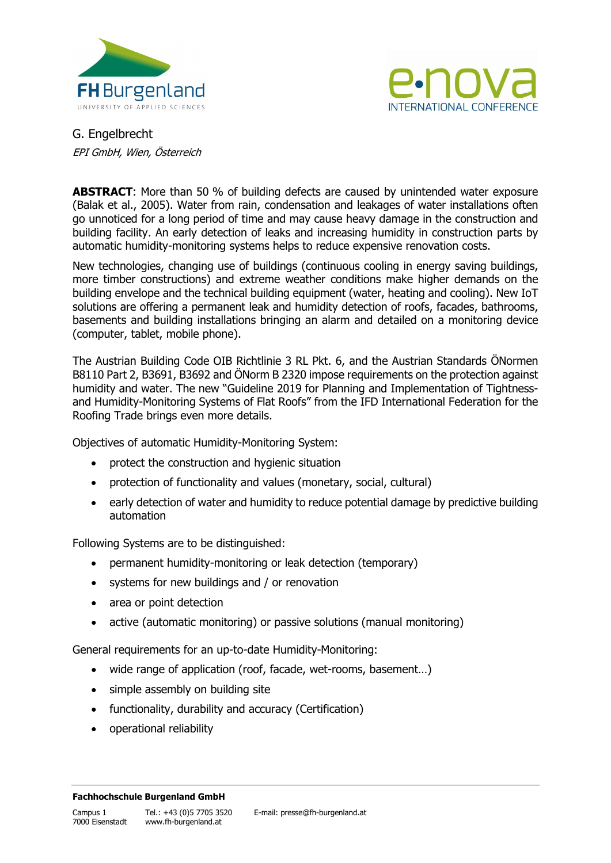



G. Engelbrecht EPI GmbH, Wien, Österreich

**ABSTRACT**: More than 50 % of building defects are caused by unintended water exposure (Balak et al., 2005). Water from rain, condensation and leakages of water installations often go unnoticed for a long period of time and may cause heavy damage in the construction and building facility. An early detection of leaks and increasing humidity in construction parts by automatic humidity-monitoring systems helps to reduce expensive renovation costs.

New technologies, changing use of buildings (continuous cooling in energy saving buildings, more timber constructions) and extreme weather conditions make higher demands on the building envelope and the technical building equipment (water, heating and cooling). New IoT solutions are offering a permanent leak and humidity detection of roofs, facades, bathrooms, basements and building installations bringing an alarm and detailed on a monitoring device (computer, tablet, mobile phone).

The Austrian Building Code OIB Richtlinie 3 RL Pkt. 6, and the Austrian Standards ÖNormen B8110 Part 2, B3691, B3692 and ÖNorm B 2320 impose requirements on the protection against humidity and water. The new "Guideline 2019 for Planning and Implementation of Tightnessand Humidity-Monitoring Systems of Flat Roofs" from the IFD International Federation for the Roofing Trade brings even more details.

Objectives of automatic Humidity-Monitoring System:

- protect the construction and hygienic situation
- protection of functionality and values (monetary, social, cultural)
- early detection of water and humidity to reduce potential damage by predictive building automation

Following Systems are to be distinguished:

- permanent humidity-monitoring or leak detection (temporary)
- systems for new buildings and / or renovation
- area or point detection
- active (automatic monitoring) or passive solutions (manual monitoring)

General requirements for an up-to-date Humidity-Monitoring:

- wide range of application (roof, facade, wet-rooms, basement...)
- simple assembly on building site
- functionality, durability and accuracy (Certification)
- operational reliability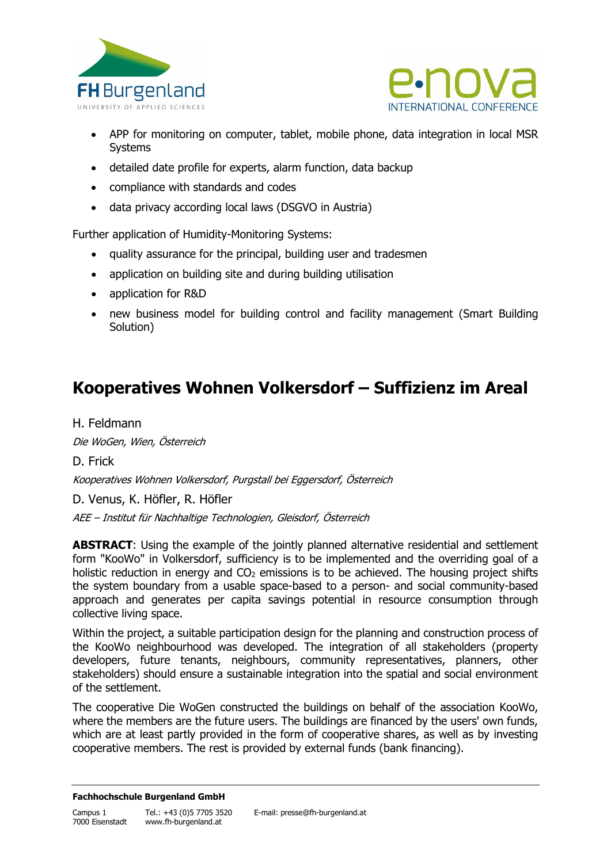



- APP for monitoring on computer, tablet, mobile phone, data integration in local MSR **Systems**
- detailed date profile for experts, alarm function, data backup
- compliance with standards and codes
- data privacy according local laws (DSGVO in Austria)

Further application of Humidity-Monitoring Systems:

- quality assurance for the principal, building user and tradesmen
- application on building site and during building utilisation
- application for R&D
- new business model for building control and facility management (Smart Building Solution)

# **Kooperatives Wohnen Volkersdorf – Suffizienz im Areal**

H. Feldmann

Die WoGen, Wien, Österreich

D. Frick

Kooperatives Wohnen Volkersdorf, Purgstall bei Eggersdorf, Österreich

D. Venus, K. Höfler, R. Höfler

AEE – Institut für Nachhaltige Technologien, Gleisdorf, Österreich

**ABSTRACT:** Using the example of the jointly planned alternative residential and settlement form "KooWo" in Volkersdorf, sufficiency is to be implemented and the overriding goal of a holistic reduction in energy and  $CO<sub>2</sub>$  emissions is to be achieved. The housing project shifts the system boundary from a usable space-based to a person- and social community-based approach and generates per capita savings potential in resource consumption through collective living space.

Within the project, a suitable participation design for the planning and construction process of the KooWo neighbourhood was developed. The integration of all stakeholders (property developers, future tenants, neighbours, community representatives, planners, other stakeholders) should ensure a sustainable integration into the spatial and social environment of the settlement.

The cooperative Die WoGen constructed the buildings on behalf of the association KooWo, where the members are the future users. The buildings are financed by the users' own funds, which are at least partly provided in the form of cooperative shares, as well as by investing cooperative members. The rest is provided by external funds (bank financing).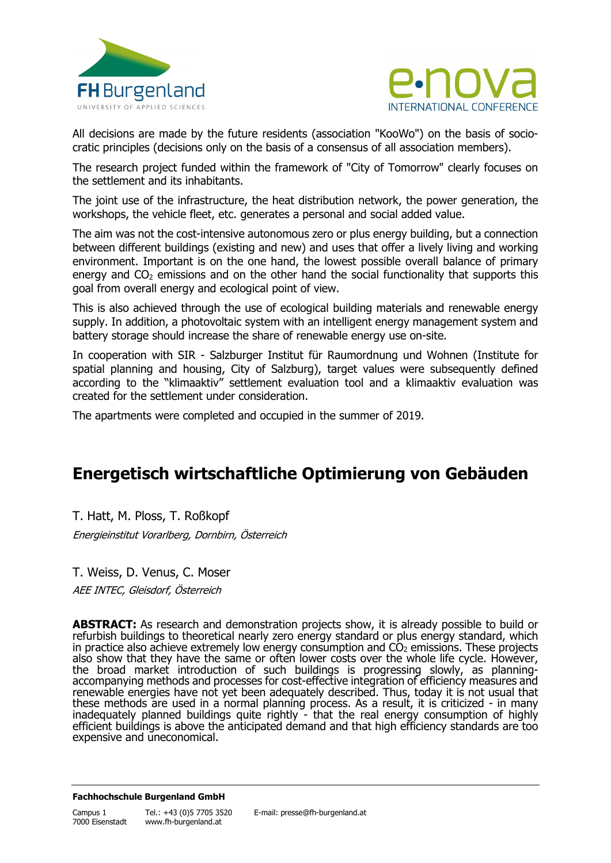



All decisions are made by the future residents (association "KooWo") on the basis of sociocratic principles (decisions only on the basis of a consensus of all association members).

The research project funded within the framework of "City of Tomorrow" clearly focuses on the settlement and its inhabitants.

The joint use of the infrastructure, the heat distribution network, the power generation, the workshops, the vehicle fleet, etc. generates a personal and social added value.

The aim was not the cost-intensive autonomous zero or plus energy building, but a connection between different buildings (existing and new) and uses that offer a lively living and working environment. Important is on the one hand, the lowest possible overall balance of primary energy and  $CO<sub>2</sub>$  emissions and on the other hand the social functionality that supports this goal from overall energy and ecological point of view.

This is also achieved through the use of ecological building materials and renewable energy supply. In addition, a photovoltaic system with an intelligent energy management system and battery storage should increase the share of renewable energy use on-site.

In cooperation with SIR - Salzburger Institut für Raumordnung und Wohnen (Institute for spatial planning and housing, City of Salzburg), target values were subsequently defined according to the "klimaaktiv" settlement evaluation tool and a klimaaktiv evaluation was created for the settlement under consideration.

The apartments were completed and occupied in the summer of 2019.

# **Energetisch wirtschaftliche Optimierung von Gebäuden**

T. Hatt, M. Ploss, T. Roßkopf

Energieinstitut Vorarlberg, Dornbirn, Österreich

T. Weiss, D. Venus, C. Moser AEE INTEC, Gleisdorf, Österreich

**ABSTRACT:** As research and demonstration projects show, it is already possible to build or refurbish buildings to theoretical nearly zero energy standard or plus energy standard, which in practice also achieve extremely low energy consumption and  $CO<sub>2</sub>$  emissions. These projects also show that they have the same or often lower costs over the whole life cycle. However, the broad market introduction of such buildings is progressing slowly, as planningaccompanying methods and processes for cost-effective integration of efficiency measures and renewable energies have not yet been adequately described. Thus, today it is not usual that these methods are used in a normal planning process. As a result, it is criticized - in many inadequately planned buildings quite rightly - that the real energy consumption of highly efficient buildings is above the anticipated demand and that high efficiency standards are too expensive and uneconomical.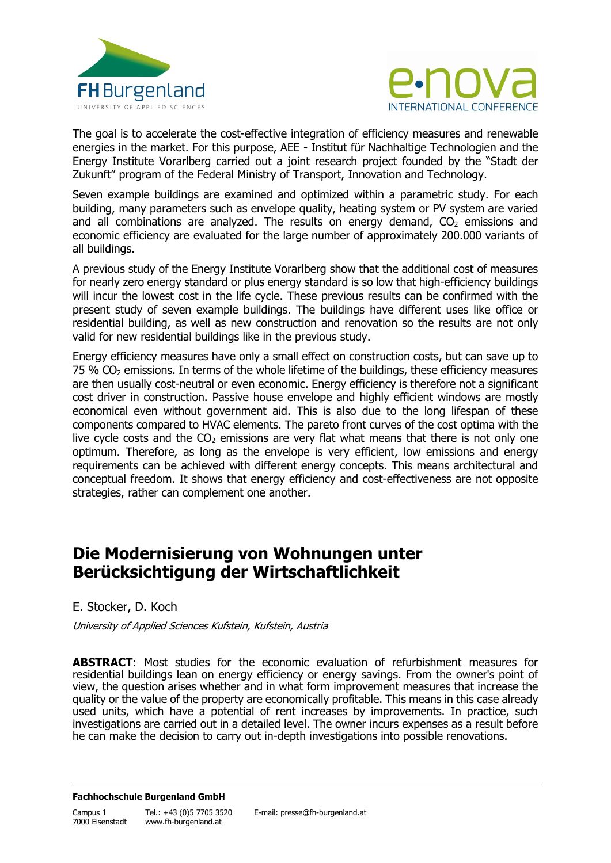



The goal is to accelerate the cost-effective integration of efficiency measures and renewable energies in the market. For this purpose, AEE - Institut für Nachhaltige Technologien and the Energy Institute Vorarlberg carried out a joint research project founded by the "Stadt der Zukunft" program of the Federal Ministry of Transport, Innovation and Technology.

Seven example buildings are examined and optimized within a parametric study. For each building, many parameters such as envelope quality, heating system or PV system are varied and all combinations are analyzed. The results on energy demand,  $CO<sub>2</sub>$  emissions and economic efficiency are evaluated for the large number of approximately 200.000 variants of all buildings.

A previous study of the Energy Institute Vorarlberg show that the additional cost of measures for nearly zero energy standard or plus energy standard is so low that high-efficiency buildings will incur the lowest cost in the life cycle. These previous results can be confirmed with the present study of seven example buildings. The buildings have different uses like office or residential building, as well as new construction and renovation so the results are not only valid for new residential buildings like in the previous study.

Energy efficiency measures have only a small effect on construction costs, but can save up to  $75$  %  $CO<sub>2</sub>$  emissions. In terms of the whole lifetime of the buildings, these efficiency measures are then usually cost-neutral or even economic. Energy efficiency is therefore not a significant cost driver in construction. Passive house envelope and highly efficient windows are mostly economical even without government aid. This is also due to the long lifespan of these components compared to HVAC elements. The pareto front curves of the cost optima with the live cycle costs and the  $CO<sub>2</sub>$  emissions are very flat what means that there is not only one optimum. Therefore, as long as the envelope is very efficient, low emissions and energy requirements can be achieved with different energy concepts. This means architectural and conceptual freedom. It shows that energy efficiency and cost-effectiveness are not opposite strategies, rather can complement one another.

## **Die Modernisierung von Wohnungen unter Berücksichtigung der Wirtschaftlichkeit**

E. Stocker, D. Koch

University of Applied Sciences Kufstein, Kufstein, Austria

**ABSTRACT**: Most studies for the economic evaluation of refurbishment measures for residential buildings lean on energy efficiency or energy savings. From the owner's point of view, the question arises whether and in what form improvement measures that increase the quality or the value of the property are economically profitable. This means in this case already used units, which have a potential of rent increases by improvements. In practice, such investigations are carried out in a detailed level. The owner incurs expenses as a result before he can make the decision to carry out in-depth investigations into possible renovations.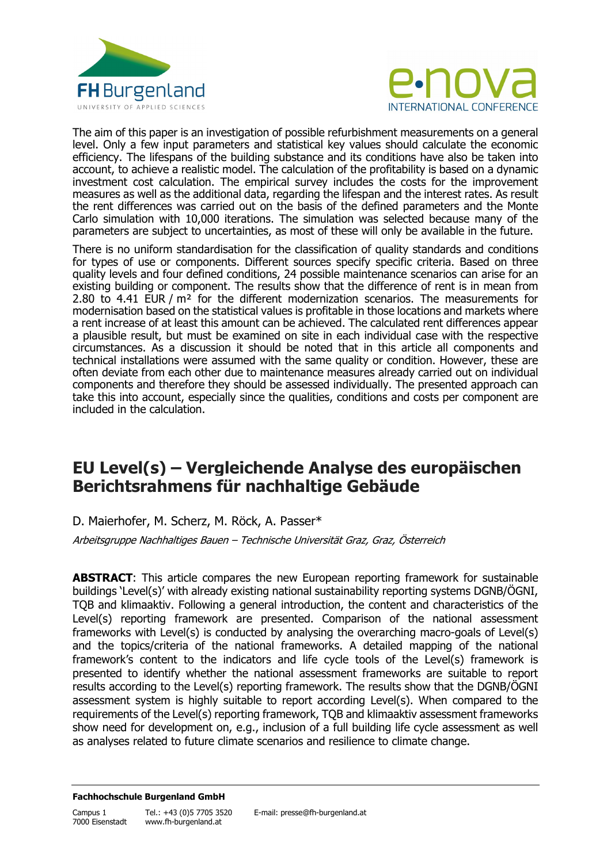



The aim of this paper is an investigation of possible refurbishment measurements on a general level. Only a few input parameters and statistical key values should calculate the economic efficiency. The lifespans of the building substance and its conditions have also be taken into account, to achieve a realistic model. The calculation of the profitability is based on a dynamic investment cost calculation. The empirical survey includes the costs for the improvement measures as well as the additional data, regarding the lifespan and the interest rates. As result the rent differences was carried out on the basis of the defined parameters and the Monte Carlo simulation with 10,000 iterations. The simulation was selected because many of the parameters are subject to uncertainties, as most of these will only be available in the future.

There is no uniform standardisation for the classification of quality standards and conditions for types of use or components. Different sources specify specific criteria. Based on three quality levels and four defined conditions, 24 possible maintenance scenarios can arise for an existing building or component. The results show that the difference of rent is in mean from 2.80 to 4.41 EUR /  $m^2$  for the different modernization scenarios. The measurements for modernisation based on the statistical values is profitable in those locations and markets where a rent increase of at least this amount can be achieved. The calculated rent differences appear a plausible result, but must be examined on site in each individual case with the respective circumstances. As a discussion it should be noted that in this article all components and technical installations were assumed with the same quality or condition. However, these are often deviate from each other due to maintenance measures already carried out on individual components and therefore they should be assessed individually. The presented approach can take this into account, especially since the qualities, conditions and costs per component are included in the calculation.

## **EU Level(s) – Vergleichende Analyse des europäischen Berichtsrahmens für nachhaltige Gebäude**

D. Maierhofer, M. Scherz, M. Röck, A. Passer\* Arbeitsgruppe Nachhaltiges Bauen – Technische Universität Graz, Graz, Österreich

**ABSTRACT**: This article compares the new European reporting framework for sustainable buildings 'Level(s)' with already existing national sustainability reporting systems DGNB/ÖGNI, TQB and klimaaktiv. Following a general introduction, the content and characteristics of the Level(s) reporting framework are presented. Comparison of the national assessment frameworks with Level(s) is conducted by analysing the overarching macro-goals of Level(s) and the topics/criteria of the national frameworks. A detailed mapping of the national framework's content to the indicators and life cycle tools of the Level(s) framework is presented to identify whether the national assessment frameworks are suitable to report results according to the Level(s) reporting framework. The results show that the DGNB/ÖGNI assessment system is highly suitable to report according Level(s). When compared to the requirements of the Level(s) reporting framework, TQB and klimaaktiv assessment frameworks show need for development on, e.g., inclusion of a full building life cycle assessment as well as analyses related to future climate scenarios and resilience to climate change.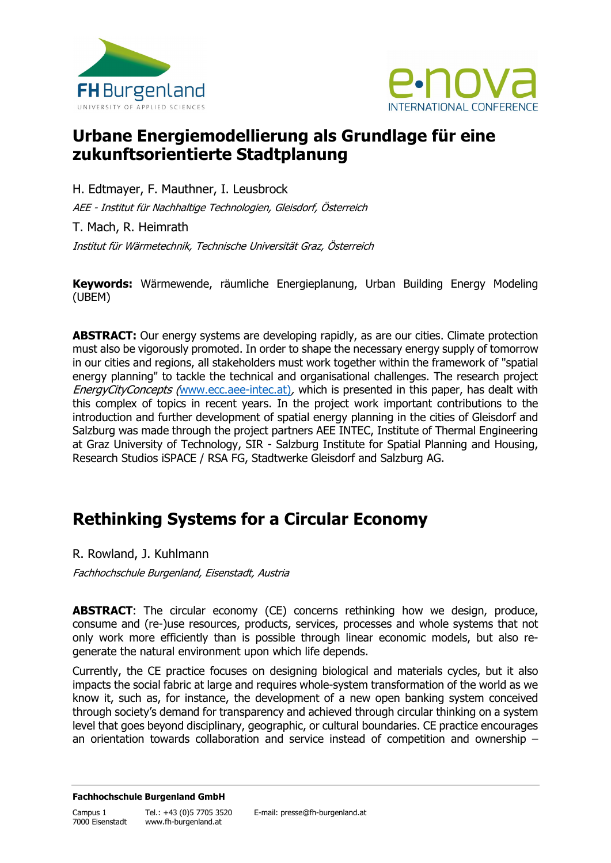



# **Urbane Energiemodellierung als Grundlage für eine zukunftsorientierte Stadtplanung**

H. Edtmayer, F. Mauthner, I. Leusbrock AEE - Institut für Nachhaltige Technologien, Gleisdorf, Österreich T. Mach, R. Heimrath

Institut für Wärmetechnik, Technische Universität Graz, Österreich

**Keywords:** Wärmewende, räumliche Energieplanung, Urban Building Energy Modeling (UBEM)

**ABSTRACT:** Our energy systems are developing rapidly, as are our cities. Climate protection must also be vigorously promoted. In order to shape the necessary energy supply of tomorrow in our cities and regions, all stakeholders must work together within the framework of "spatial energy planning" to tackle the technical and organisational challenges. The research project EnergyCityConcepts ([www.ecc.aee-intec.at\)](http://www.ecc.aee-intec.at/), which is presented in this paper, has dealt with this complex of topics in recent years. In the project work important contributions to the introduction and further development of spatial energy planning in the cities of Gleisdorf and Salzburg was made through the project partners AEE INTEC, Institute of Thermal Engineering at Graz University of Technology, SIR - Salzburg Institute for Spatial Planning and Housing, Research Studios iSPACE / RSA FG, Stadtwerke Gleisdorf and Salzburg AG.

# **Rethinking Systems for a Circular Economy**

R. Rowland, J. Kuhlmann

Fachhochschule Burgenland, Eisenstadt, Austria

**ABSTRACT**: The circular economy (CE) concerns rethinking how we design, produce, consume and (re-)use resources, products, services, processes and whole systems that not only work more efficiently than is possible through linear economic models, but also regenerate the natural environment upon which life depends.

Currently, the CE practice focuses on designing biological and materials cycles, but it also impacts the social fabric at large and requires whole-system transformation of the world as we know it, such as, for instance, the development of a new open banking system conceived through society's demand for transparency and achieved through circular thinking on a system level that goes beyond disciplinary, geographic, or cultural boundaries. CE practice encourages an orientation towards collaboration and service instead of competition and ownership –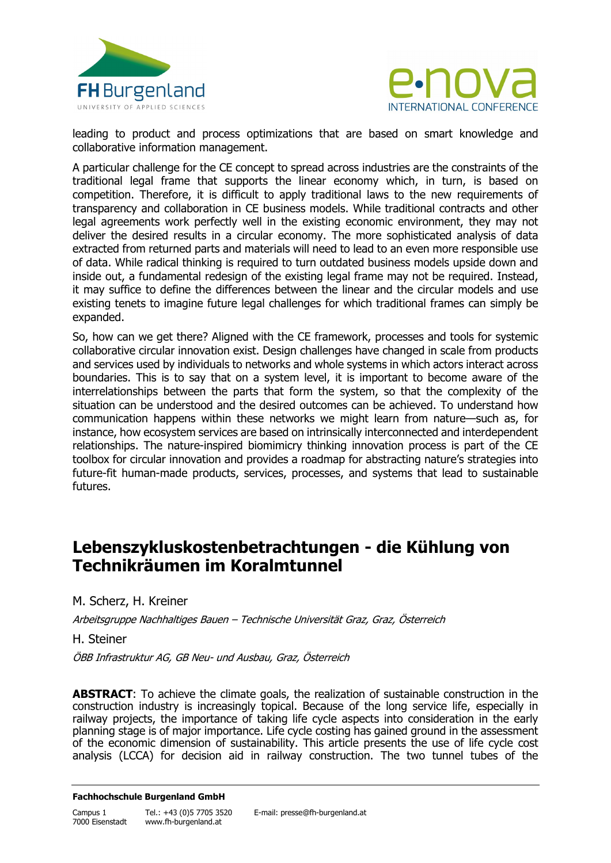



leading to product and process optimizations that are based on smart knowledge and collaborative information management.

A particular challenge for the CE concept to spread across industries are the constraints of the traditional legal frame that supports the linear economy which, in turn, is based on competition. Therefore, it is difficult to apply traditional laws to the new requirements of transparency and collaboration in CE business models. While traditional contracts and other legal agreements work perfectly well in the existing economic environment, they may not deliver the desired results in a circular economy. The more sophisticated analysis of data extracted from returned parts and materials will need to lead to an even more responsible use of data. While radical thinking is required to turn outdated business models upside down and inside out, a fundamental redesign of the existing legal frame may not be required. Instead, it may suffice to define the differences between the linear and the circular models and use existing tenets to imagine future legal challenges for which traditional frames can simply be expanded.

So, how can we get there? Aligned with the CE framework, processes and tools for systemic collaborative circular innovation exist. Design challenges have changed in scale from products and services used by individuals to networks and whole systems in which actors interact across boundaries. This is to say that on a system level, it is important to become aware of the interrelationships between the parts that form the system, so that the complexity of the situation can be understood and the desired outcomes can be achieved. To understand how communication happens within these networks we might learn from nature—such as, for instance, how ecosystem services are based on intrinsically interconnected and interdependent relationships. The nature-inspired biomimicry thinking innovation process is part of the CE toolbox for circular innovation and provides a roadmap for abstracting nature's strategies into future-fit human-made products, services, processes, and systems that lead to sustainable futures.

### **Lebenszykluskostenbetrachtungen - die Kühlung von Technikräumen im Koralmtunnel**

M. Scherz, H. Kreiner

Arbeitsgruppe Nachhaltiges Bauen – Technische Universität Graz, Graz, Österreich

H. Steiner

ÖBB Infrastruktur AG, GB Neu- und Ausbau, Graz, Österreich

**ABSTRACT:** To achieve the climate goals, the realization of sustainable construction in the construction industry is increasingly topical. Because of the long service life, especially in railway projects, the importance of taking life cycle aspects into consideration in the early planning stage is of major importance. Life cycle costing has gained ground in the assessment of the economic dimension of sustainability. This article presents the use of life cycle cost analysis (LCCA) for decision aid in railway construction. The two tunnel tubes of the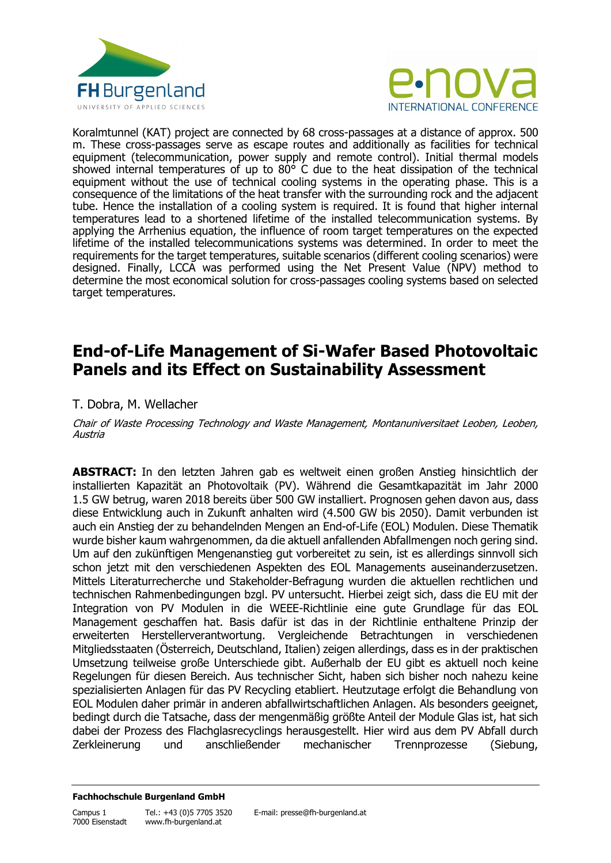



Koralmtunnel (KAT) project are connected by 68 cross-passages at a distance of approx. 500 m. These cross-passages serve as escape routes and additionally as facilities for technical equipment (telecommunication, power supply and remote control). Initial thermal models showed internal temperatures of up to  $80^{\circ}$  C due to the heat dissipation of the technical equipment without the use of technical cooling systems in the operating phase. This is a consequence of the limitations of the heat transfer with the surrounding rock and the adjacent tube. Hence the installation of a cooling system is required. It is found that higher internal temperatures lead to a shortened lifetime of the installed telecommunication systems. By applying the Arrhenius equation, the influence of room target temperatures on the expected lifetime of the installed telecommunications systems was determined. In order to meet the requirements for the target temperatures, suitable scenarios (different cooling scenarios) were designed. Finally, LCCA was performed using the Net Present Value (NPV) method to determine the most economical solution for cross-passages cooling systems based on selected target temperatures.

# **End-of-Life Management of Si-Wafer Based Photovoltaic Panels and its Effect on Sustainability Assessment**

### T. Dobra, M. Wellacher

Chair of Waste Processing Technology and Waste Management, Montanuniversitaet Leoben, Leoben, Austria

**ABSTRACT:** In den letzten Jahren gab es weltweit einen großen Anstieg hinsichtlich der installierten Kapazität an Photovoltaik (PV). Während die Gesamtkapazität im Jahr 2000 1.5 GW betrug, waren 2018 bereits über 500 GW installiert. Prognosen gehen davon aus, dass diese Entwicklung auch in Zukunft anhalten wird (4.500 GW bis 2050). Damit verbunden ist auch ein Anstieg der zu behandelnden Mengen an End-of-Life (EOL) Modulen. Diese Thematik wurde bisher kaum wahrgenommen, da die aktuell anfallenden Abfallmengen noch gering sind. Um auf den zukünftigen Mengenanstieg gut vorbereitet zu sein, ist es allerdings sinnvoll sich schon jetzt mit den verschiedenen Aspekten des EOL Managements auseinanderzusetzen. Mittels Literaturrecherche und Stakeholder-Befragung wurden die aktuellen rechtlichen und technischen Rahmenbedingungen bzgl. PV untersucht. Hierbei zeigt sich, dass die EU mit der Integration von PV Modulen in die WEEE-Richtlinie eine gute Grundlage für das EOL Management geschaffen hat. Basis dafür ist das in der Richtlinie enthaltene Prinzip der erweiterten Herstellerverantwortung. Vergleichende Betrachtungen in verschiedenen Mitgliedsstaaten (Österreich, Deutschland, Italien) zeigen allerdings, dass es in der praktischen Umsetzung teilweise große Unterschiede gibt. Außerhalb der EU gibt es aktuell noch keine Regelungen für diesen Bereich. Aus technischer Sicht, haben sich bisher noch nahezu keine spezialisierten Anlagen für das PV Recycling etabliert. Heutzutage erfolgt die Behandlung von EOL Modulen daher primär in anderen abfallwirtschaftlichen Anlagen. Als besonders geeignet, bedingt durch die Tatsache, dass der mengenmäßig größte Anteil der Module Glas ist, hat sich dabei der Prozess des Flachglasrecyclings herausgestellt. Hier wird aus dem PV Abfall durch Zerkleinerung und anschließender mechanischer Trennprozesse (Siebung,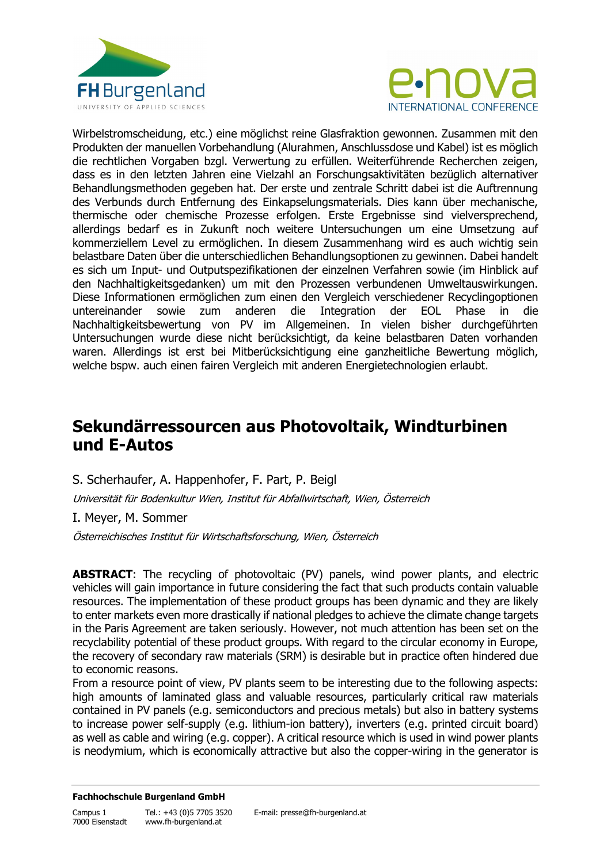



Wirbelstromscheidung, etc.) eine möglichst reine Glasfraktion gewonnen. Zusammen mit den Produkten der manuellen Vorbehandlung (Alurahmen, Anschlussdose und Kabel) ist es möglich die rechtlichen Vorgaben bzgl. Verwertung zu erfüllen. Weiterführende Recherchen zeigen, dass es in den letzten Jahren eine Vielzahl an Forschungsaktivitäten bezüglich alternativer Behandlungsmethoden gegeben hat. Der erste und zentrale Schritt dabei ist die Auftrennung des Verbunds durch Entfernung des Einkapselungsmaterials. Dies kann über mechanische, thermische oder chemische Prozesse erfolgen. Erste Ergebnisse sind vielversprechend, allerdings bedarf es in Zukunft noch weitere Untersuchungen um eine Umsetzung auf kommerziellem Level zu ermöglichen. In diesem Zusammenhang wird es auch wichtig sein belastbare Daten über die unterschiedlichen Behandlungsoptionen zu gewinnen. Dabei handelt es sich um Input- und Outputspezifikationen der einzelnen Verfahren sowie (im Hinblick auf den Nachhaltigkeitsgedanken) um mit den Prozessen verbundenen Umweltauswirkungen. Diese Informationen ermöglichen zum einen den Vergleich verschiedener Recyclingoptionen untereinander sowie zum anderen die Integration der EOL Phase in die Nachhaltigkeitsbewertung von PV im Allgemeinen. In vielen bisher durchgeführten Untersuchungen wurde diese nicht berücksichtigt, da keine belastbaren Daten vorhanden waren. Allerdings ist erst bei Mitberücksichtigung eine ganzheitliche Bewertung möglich, welche bspw. auch einen fairen Vergleich mit anderen Energietechnologien erlaubt.

### **Sekundärressourcen aus Photovoltaik, Windturbinen und E-Autos**

S. Scherhaufer, A. Happenhofer, F. Part, P. Beigl

Universität für Bodenkultur Wien, Institut für Abfallwirtschaft, Wien, Österreich

I. Meyer, M. Sommer

Österreichisches Institut für Wirtschaftsforschung, Wien, Österreich

**ABSTRACT:** The recycling of photovoltaic (PV) panels, wind power plants, and electric vehicles will gain importance in future considering the fact that such products contain valuable resources. The implementation of these product groups has been dynamic and they are likely to enter markets even more drastically if national pledges to achieve the climate change targets in the Paris Agreement are taken seriously. However, not much attention has been set on the recyclability potential of these product groups. With regard to the circular economy in Europe, the recovery of secondary raw materials (SRM) is desirable but in practice often hindered due to economic reasons.

From a resource point of view, PV plants seem to be interesting due to the following aspects: high amounts of laminated glass and valuable resources, particularly critical raw materials contained in PV panels (e.g. semiconductors and precious metals) but also in battery systems to increase power self-supply (e.g. lithium-ion battery), inverters (e.g. printed circuit board) as well as cable and wiring (e.g. copper). A critical resource which is used in wind power plants is neodymium, which is economically attractive but also the copper-wiring in the generator is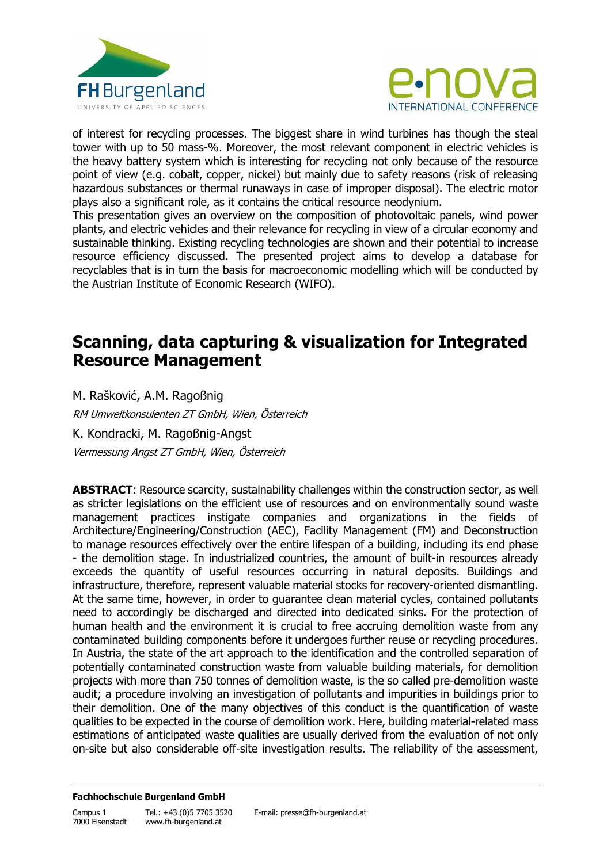



of interest for recycling processes. The biggest share in wind turbines has though the steal tower with up to 50 mass-%. Moreover, the most relevant component in electric vehicles is the heavy battery system which is interesting for recycling not only because of the resource point of view (e.g. cobalt, copper, nickel) but mainly due to safety reasons (risk of releasing hazardous substances or thermal runaways in case of improper disposal). The electric motor plays also a significant role, as it contains the critical resource neodynium.

This presentation gives an overview on the composition of photovoltaic panels, wind power plants, and electric vehicles and their relevance for recycling in view of a circular economy and sustainable thinking. Existing recycling technologies are shown and their potential to increase resource efficiency discussed. The presented project aims to develop a database for recyclables that is in turn the basis for macroeconomic modelling which will be conducted by the Austrian Institute of Economic Research (WIFO).

## **Scanning, data capturing & visualization for Integrated Resource Management**

M. Rašković, A.M. Ragoßnig RM Umweltkonsulenten ZT GmbH, Wien, Österreich K. Kondracki, M. Ragoßnig-Angst Vermessung Angst ZT GmbH, Wien, Österreich

**ABSTRACT**: Resource scarcity, sustainability challenges within the construction sector, as well as stricter legislations on the efficient use of resources and on environmentally sound waste management practices instigate companies and organizations in the fields of Architecture/Engineering/Construction (AEC), Facility Management (FM) and Deconstruction to manage resources effectively over the entire lifespan of a building, including its end phase - the demolition stage. In industrialized countries, the amount of built-in resources already exceeds the quantity of useful resources occurring in natural deposits. Buildings and infrastructure, therefore, represent valuable material stocks for recovery-oriented dismantling. At the same time, however, in order to guarantee clean material cycles, contained pollutants need to accordingly be discharged and directed into dedicated sinks. For the protection of human health and the environment it is crucial to free accruing demolition waste from any contaminated building components before it undergoes further reuse or recycling procedures. In Austria, the state of the art approach to the identification and the controlled separation of potentially contaminated construction waste from valuable building materials, for demolition projects with more than 750 tonnes of demolition waste, is the so called pre-demolition waste audit; a procedure involving an investigation of pollutants and impurities in buildings prior to their demolition. One of the many objectives of this conduct is the quantification of waste qualities to be expected in the course of demolition work. Here, building material-related mass estimations of anticipated waste qualities are usually derived from the evaluation of not only on-site but also considerable off-site investigation results. The reliability of the assessment,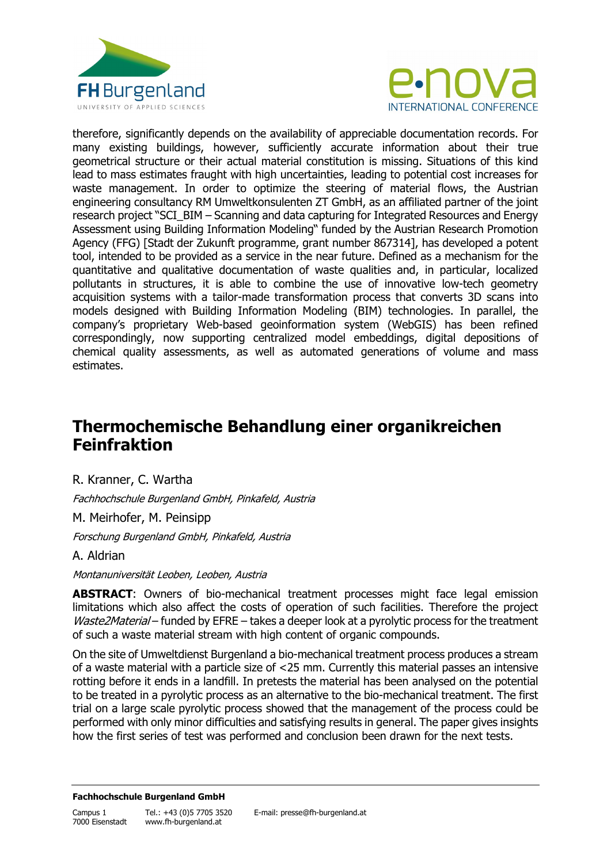



therefore, significantly depends on the availability of appreciable documentation records. For many existing buildings, however, sufficiently accurate information about their true geometrical structure or their actual material constitution is missing. Situations of this kind lead to mass estimates fraught with high uncertainties, leading to potential cost increases for waste management. In order to optimize the steering of material flows, the Austrian engineering consultancy RM Umweltkonsulenten ZT GmbH, as an affiliated partner of the joint research project "SCI\_BIM – Scanning and data capturing for Integrated Resources and Energy Assessment using Building Information Modeling" funded by the Austrian Research Promotion Agency (FFG) [Stadt der Zukunft programme, grant number 867314], has developed a potent tool, intended to be provided as a service in the near future. Defined as a mechanism for the quantitative and qualitative documentation of waste qualities and, in particular, localized pollutants in structures, it is able to combine the use of innovative low-tech geometry acquisition systems with a tailor-made transformation process that converts 3D scans into models designed with Building Information Modeling (BIM) technologies. In parallel, the company's proprietary Web-based geoinformation system (WebGIS) has been refined correspondingly, now supporting centralized model embeddings, digital depositions of chemical quality assessments, as well as automated generations of volume and mass estimates.

# **Thermochemische Behandlung einer organikreichen Feinfraktion**

R. Kranner, C. Wartha

Fachhochschule Burgenland GmbH, Pinkafeld, Austria

M. Meirhofer, M. Peinsipp

Forschung Burgenland GmbH, Pinkafeld, Austria

### A. Aldrian

Montanuniversität Leoben, Leoben, Austria

**ABSTRACT**: Owners of bio-mechanical treatment processes might face legal emission limitations which also affect the costs of operation of such facilities. Therefore the project Waste2Material – funded by EFRE – takes a deeper look at a pyrolytic process for the treatment of such a waste material stream with high content of organic compounds.

On the site of Umweltdienst Burgenland a bio-mechanical treatment process produces a stream of a waste material with a particle size of <25 mm. Currently this material passes an intensive rotting before it ends in a landfill. In pretests the material has been analysed on the potential to be treated in a pyrolytic process as an alternative to the bio-mechanical treatment. The first trial on a large scale pyrolytic process showed that the management of the process could be performed with only minor difficulties and satisfying results in general. The paper gives insights how the first series of test was performed and conclusion been drawn for the next tests.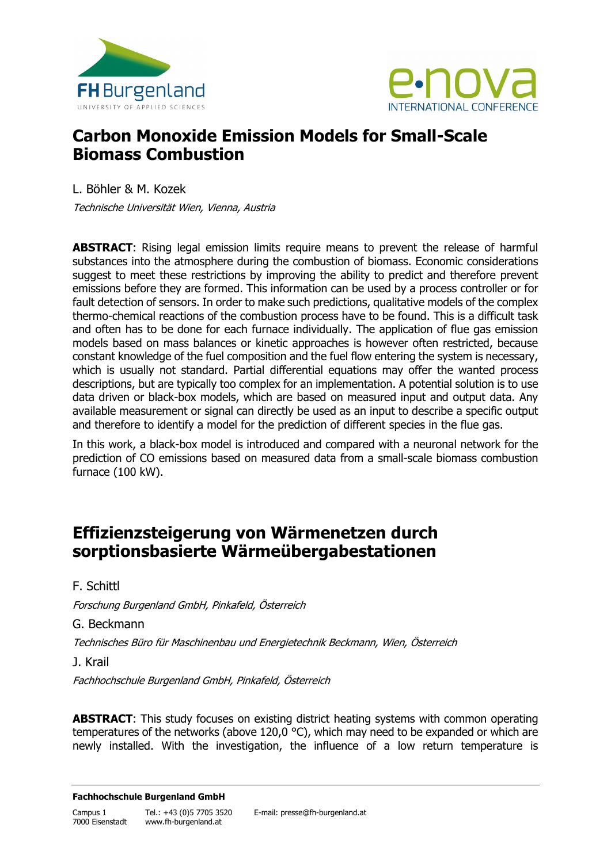



# **Carbon Monoxide Emission Models for Small-Scale Biomass Combustion**

L. Böhler & M. Kozek Technische Universität Wien, Vienna, Austria

**ABSTRACT**: Rising legal emission limits require means to prevent the release of harmful substances into the atmosphere during the combustion of biomass. Economic considerations suggest to meet these restrictions by improving the ability to predict and therefore prevent emissions before they are formed. This information can be used by a process controller or for fault detection of sensors. In order to make such predictions, qualitative models of the complex thermo-chemical reactions of the combustion process have to be found. This is a difficult task and often has to be done for each furnace individually. The application of flue gas emission models based on mass balances or kinetic approaches is however often restricted, because constant knowledge of the fuel composition and the fuel flow entering the system is necessary, which is usually not standard. Partial differential equations may offer the wanted process descriptions, but are typically too complex for an implementation. A potential solution is to use data driven or black-box models, which are based on measured input and output data. Any available measurement or signal can directly be used as an input to describe a specific output and therefore to identify a model for the prediction of different species in the flue gas.

In this work, a black-box model is introduced and compared with a neuronal network for the prediction of CO emissions based on measured data from a small-scale biomass combustion furnace (100 kW).

# **Effizienzsteigerung von Wärmenetzen durch sorptionsbasierte Wärmeübergabestationen**

F. Schittl

Forschung Burgenland GmbH, Pinkafeld, Österreich

G. Beckmann

Technisches Büro für Maschinenbau und Energietechnik Beckmann, Wien, Österreich

J. Krail

Fachhochschule Burgenland GmbH, Pinkafeld, Österreich

**ABSTRACT**: This study focuses on existing district heating systems with common operating temperatures of the networks (above 120,0 °C), which may need to be expanded or which are newly installed. With the investigation, the influence of a low return temperature is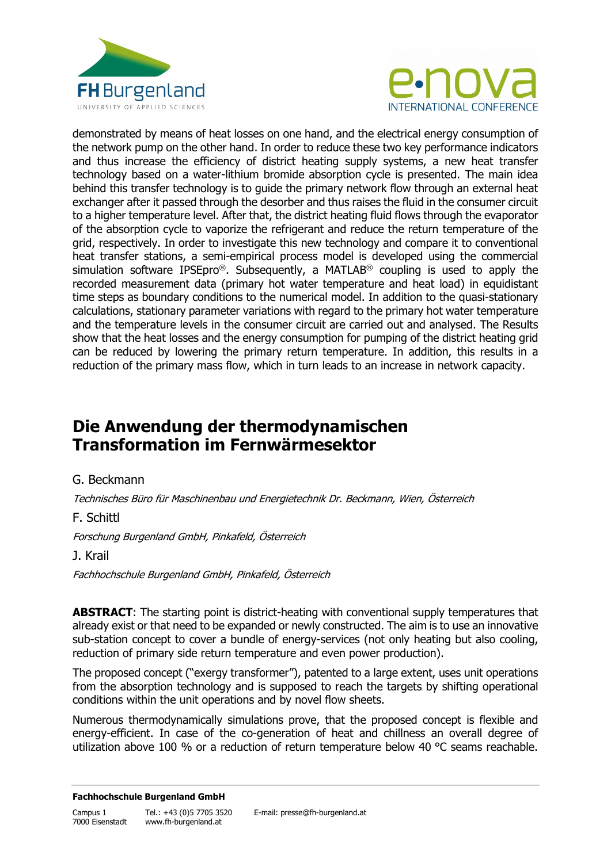



demonstrated by means of heat losses on one hand, and the electrical energy consumption of the network pump on the other hand. In order to reduce these two key performance indicators and thus increase the efficiency of district heating supply systems, a new heat transfer technology based on a water-lithium bromide absorption cycle is presented. The main idea behind this transfer technology is to guide the primary network flow through an external heat exchanger after it passed through the desorber and thus raises the fluid in the consumer circuit to a higher temperature level. After that, the district heating fluid flows through the evaporator of the absorption cycle to vaporize the refrigerant and reduce the return temperature of the grid, respectively. In order to investigate this new technology and compare it to conventional heat transfer stations, a semi-empirical process model is developed using the commercial simulation software IPSEpro®. Subsequently, a MATLAB® coupling is used to apply the recorded measurement data (primary hot water temperature and heat load) in equidistant time steps as boundary conditions to the numerical model. In addition to the quasi-stationary calculations, stationary parameter variations with regard to the primary hot water temperature and the temperature levels in the consumer circuit are carried out and analysed. The Results show that the heat losses and the energy consumption for pumping of the district heating grid can be reduced by lowering the primary return temperature. In addition, this results in a reduction of the primary mass flow, which in turn leads to an increase in network capacity.

# **Die Anwendung der thermodynamischen Transformation im Fernwärmesektor**

### G. Beckmann

Technisches Büro für Maschinenbau und Energietechnik Dr. Beckmann, Wien, Österreich

F. Schittl

Forschung Burgenland GmbH, Pinkafeld, Österreich

### J. Krail

Fachhochschule Burgenland GmbH, Pinkafeld, Österreich

**ABSTRACT**: The starting point is district-heating with conventional supply temperatures that already exist or that need to be expanded or newly constructed. The aim is to use an innovative sub-station concept to cover a bundle of energy-services (not only heating but also cooling, reduction of primary side return temperature and even power production).

The proposed concept ("exergy transformer"), patented to a large extent, uses unit operations from the absorption technology and is supposed to reach the targets by shifting operational conditions within the unit operations and by novel flow sheets.

Numerous thermodynamically simulations prove, that the proposed concept is flexible and energy-efficient. In case of the co-generation of heat and chillness an overall degree of utilization above 100 % or a reduction of return temperature below 40 °C seams reachable.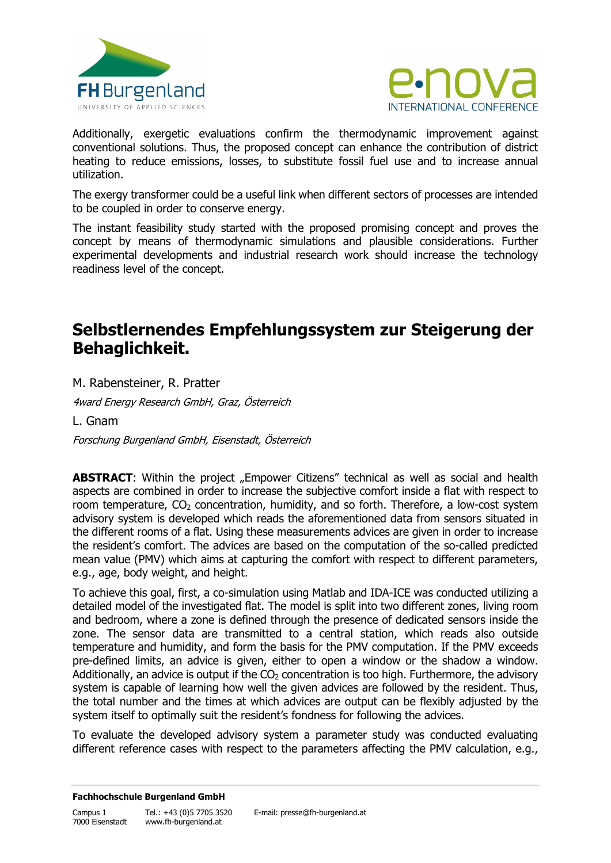



Additionally, exergetic evaluations confirm the thermodynamic improvement against conventional solutions. Thus, the proposed concept can enhance the contribution of district heating to reduce emissions, losses, to substitute fossil fuel use and to increase annual utilization.

The exergy transformer could be a useful link when different sectors of processes are intended to be coupled in order to conserve energy.

The instant feasibility study started with the proposed promising concept and proves the concept by means of thermodynamic simulations and plausible considerations. Further experimental developments and industrial research work should increase the technology readiness level of the concept.

## **Selbstlernendes Empfehlungssystem zur Steigerung der Behaglichkeit.**

M. Rabensteiner, R. Pratter

4ward Energy Research GmbH, Graz, Österreich

L. Gnam

Forschung Burgenland GmbH, Eisenstadt, Österreich

ABSTRACT: Within the project "Empower Citizens" technical as well as social and health aspects are combined in order to increase the subjective comfort inside a flat with respect to room temperature,  $CO<sub>2</sub>$  concentration, humidity, and so forth. Therefore, a low-cost system advisory system is developed which reads the aforementioned data from sensors situated in the different rooms of a flat. Using these measurements advices are given in order to increase the resident's comfort. The advices are based on the computation of the so-called predicted mean value (PMV) which aims at capturing the comfort with respect to different parameters, e.g., age, body weight, and height.

To achieve this goal, first, a co-simulation using Matlab and IDA-ICE was conducted utilizing a detailed model of the investigated flat. The model is split into two different zones, living room and bedroom, where a zone is defined through the presence of dedicated sensors inside the zone. The sensor data are transmitted to a central station, which reads also outside temperature and humidity, and form the basis for the PMV computation. If the PMV exceeds pre-defined limits, an advice is given, either to open a window or the shadow a window. Additionally, an advice is output if the  $CO<sub>2</sub>$  concentration is too high. Furthermore, the advisory system is capable of learning how well the given advices are followed by the resident. Thus, the total number and the times at which advices are output can be flexibly adjusted by the system itself to optimally suit the resident's fondness for following the advices.

To evaluate the developed advisory system a parameter study was conducted evaluating different reference cases with respect to the parameters affecting the PMV calculation, e.g.,